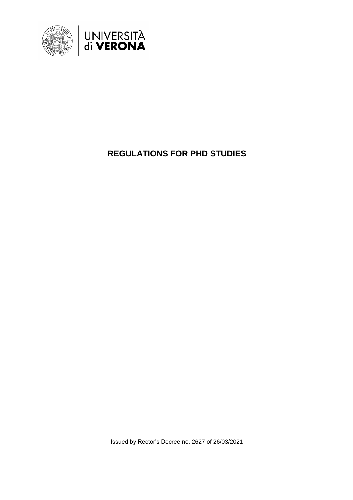

# **REGULATIONS FOR PHD STUDIES**

Issued by Rector's Decree no. 2627 of 26/03/2021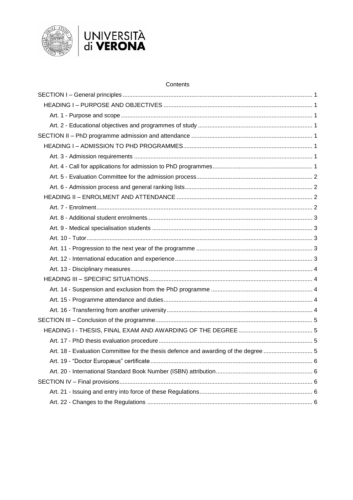



## Contents

| Art. 18 - Evaluation Committee for the thesis defence and awarding of the degree  5 |  |
|-------------------------------------------------------------------------------------|--|
|                                                                                     |  |
|                                                                                     |  |
|                                                                                     |  |
|                                                                                     |  |
|                                                                                     |  |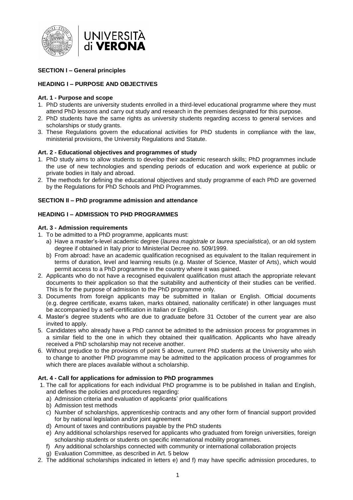

## <span id="page-2-0"></span>**SECTION I – General principles**

## <span id="page-2-1"></span>**HEADING I – PURPOSE AND OBJECTIVES**

#### <span id="page-2-2"></span>**Art. 1 - Purpose and scope**

- 1. PhD students are university students enrolled in a third-level educational programme where they must attend PhD lessons and carry out study and research in the premises designated for this purpose.
- 2. PhD students have the same rights as university students regarding access to general services and scholarships or study grants.
- 3. These Regulations govern the educational activities for PhD students in compliance with the law, ministerial provisions, the University Regulations and Statute.

#### <span id="page-2-3"></span>**Art. 2 - Educational objectives and programmes of study**

- 1. PhD study aims to allow students to develop their academic research skills; PhD programmes include the use of new technologies and spending periods of education and work experience at public or private bodies in Italy and abroad.
- 2. The methods for defining the educational objectives and study programme of each PhD are governed by the Regulations for PhD Schools and PhD Programmes.

#### <span id="page-2-4"></span>**SECTION II – PhD programme admission and attendance**

## <span id="page-2-5"></span>**HEADING I – ADMISSION TO PHD PROGRAMMES**

#### <span id="page-2-6"></span>**Art. 3 - Admission requirements**

- 1. To be admitted to a PhD programme, applicants must:
	- a) Have a master's-level academic degree (*laurea magistrale* or *laurea specialistica*), or an old system degree if obtained in Italy prior to Ministerial Decree no. 509/1999.
	- b) From abroad: have an academic qualification recognised as equivalent to the Italian requirement in terms of duration, level and learning results (e.g. Master of Science, Master of Arts), which would permit access to a PhD programme in the country where it was gained.
- 2. Applicants who do not have a recognised equivalent qualification must attach the appropriate relevant documents to their application so that the suitability and authenticity of their studies can be verified. This is for the purpose of admission to the PhD programme only.
- 3. Documents from foreign applicants may be submitted in Italian or English. Official documents (e.g. degree certificate, exams taken, marks obtained, nationality certificate) in other languages must be accompanied by a self-certification in Italian or English.
- 4. Master's degree students who are due to graduate before 31 October of the current year are also invited to apply.
- 5. Candidates who already have a PhD cannot be admitted to the admission process for programmes in a similar field to the one in which they obtained their qualification. Applicants who have already received a PhD scholarship may not receive another.
- 6. Without prejudice to the provisions of point 5 above, current PhD students at the University who wish to change to another PhD programme may be admitted to the application process of programmes for which there are places available without a scholarship.

## <span id="page-2-7"></span>**Art. 4 - Call for applications for admission to PhD programmes**

- 1. The call for applications for each individual PhD programme is to be published in Italian and English, and defines the policies and procedures regarding:
	- a) Admission criteria and evaluation of applicants' prior qualifications
	- b) Admission test methods
	- c) Number of scholarships, apprenticeship contracts and any other form of financial support provided for by national legislation and/or joint agreement
	- d) Amount of taxes and contributions payable by the PhD students
	- e) Any additional scholarships reserved for applicants who graduated from foreign universities, foreign scholarship students or students on specific international mobility programmes.
	- f) Any additional scholarships connected with community or international collaboration projects
	- g) Evaluation Committee, as described in Art. 5 below
- 2. The additional scholarships indicated in letters e) and f) may have specific admission procedures, to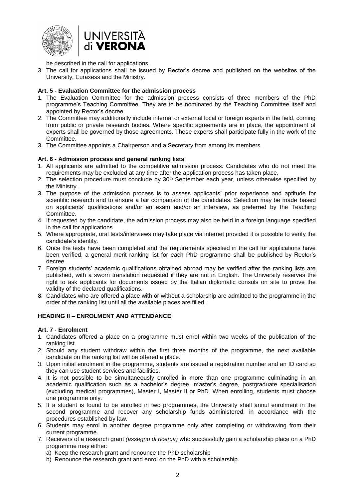



be described in the call for applications.

3. The call for applications shall be issued by Rector's decree and published on the websites of the University, Euraxess and the Ministry.

## <span id="page-3-0"></span>**Art. 5 - Evaluation Committee for the admission process**

- 1. The Evaluation Committee for the admission process consists of three members of the PhD programme's Teaching Committee. They are to be nominated by the Teaching Committee itself and appointed by Rector's decree.
- 2. The Committee may additionally include internal or external local or foreign experts in the field, coming from public or private research bodies. Where specific agreements are in place, the appointment of experts shall be governed by those agreements. These experts shall participate fully in the work of the Committee.
- 3. The Committee appoints a Chairperson and a Secretary from among its members.

#### <span id="page-3-1"></span>**Art. 6 - Admission process and general ranking lists**

- 1. All applicants are admitted to the competitive admission process. Candidates who do not meet the requirements may be excluded at any time after the application process has taken place.
- 2. The selection procedure must conclude by 30<sup>th</sup> September each year, unless otherwise specified by the Ministry.
- 3. The purpose of the admission process is to assess applicants' prior experience and aptitude for scientific research and to ensure a fair comparison of the candidates. Selection may be made based on applicants' qualifications and/or an exam and/or an interview, as preferred by the Teaching Committee.
- 4. If requested by the candidate, the admission process may also be held in a foreign language specified in the call for applications.
- 5. Where appropriate, oral tests/interviews may take place via internet provided it is possible to verify the candidate's identity.
- 6. Once the tests have been completed and the requirements specified in the call for applications have been verified, a general merit ranking list for each PhD programme shall be published by Rector's decree.
- 7. Foreign students' academic qualifications obtained abroad may be verified after the ranking lists are published, with a sworn translation requested if they are not in English. The University reserves the right to ask applicants for documents issued by the Italian diplomatic consuls on site to prove the validity of the declared qualifications.
- 8. Candidates who are offered a place with or without a scholarship are admitted to the programme in the order of the ranking list until all the available places are filled.

## <span id="page-3-2"></span>**HEADING II – ENROLMENT AND ATTENDANCE**

#### <span id="page-3-3"></span>**Art. 7 - Enrolment**

- 1. Candidates offered a place on a programme must enrol within two weeks of the publication of the ranking list.
- 2. Should any student withdraw within the first three months of the programme, the next available candidate on the ranking list will be offered a place.
- 3. Upon initial enrolment in the programme, students are issued a registration number and an ID card so they can use student services and facilities.
- 4. It is not possible to be simultaneously enrolled in more than one programme culminating in an academic qualification such as a bachelor's degree, master's degree, postgraduate specialisation (excluding medical programmes), Master I, Master II or PhD. When enrolling, students must choose one programme only.
- 5. If a student is found to be enrolled in two programmes, the University shall annul enrolment in the second programme and recover any scholarship funds administered, in accordance with the procedures established by law.
- 6. Students may enrol in another degree programme only after completing or withdrawing from their current programme.
- 7. Receivers of a research grant *(assegno di ricerca)* who successfully gain a scholarship place on a PhD programme may either:
	- a) Keep the research grant and renounce the PhD scholarship
	- b) Renounce the research grant and enrol on the PhD with a scholarship.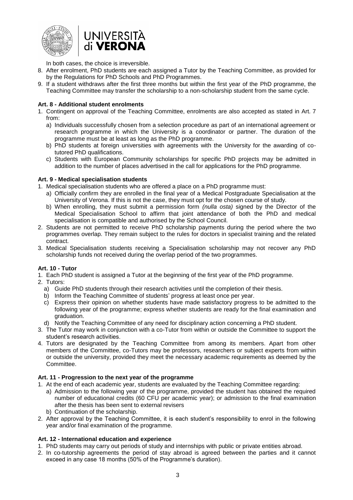



In both cases, the choice is irreversible.

- 8. After enrolment, PhD students are each assigned a Tutor by the Teaching Committee, as provided for by the Regulations for PhD Schools and PhD Programmes.
- 9. If a student withdraws after the first three months but within the first year of the PhD programme, the Teaching Committee may transfer the scholarship to a non-scholarship student from the same cycle.

## <span id="page-4-0"></span>**Art. 8 - Additional student enrolments**

- 1. Contingent on approval of the Teaching Committee, enrolments are also accepted as stated in Art. 7 from:
	- a) Individuals successfully chosen from a selection procedure as part of an international agreement or research programme in which the University is a coordinator or partner. The duration of the programme must be at least as long as the PhD programme.
	- b) PhD students at foreign universities with agreements with the University for the awarding of cotutored PhD qualifications.
	- c) Students with European Community scholarships for specific PhD projects may be admitted in addition to the number of places advertised in the call for applications for the PhD programme.

## <span id="page-4-1"></span>**Art. 9 - Medical specialisation students**

- 1. Medical specialisation students who are offered a place on a PhD programme must:
	- a) Officially confirm they are enrolled in the final year of a Medical Postgraduate Specialisation at the University of Verona. If this is not the case, they must opt for the chosen course of study.
	- b) When enrolling, they must submit a permission form *(nulla osta)* signed by the Director of the Medical Specialisation School to affirm that joint attendance of both the PhD and medical specialisation is compatible and authorised by the School Council.
- 2. Students are not permitted to receive PhD scholarship payments during the period where the two programmes overlap. They remain subject to the rules for doctors in specialist training and the related contract.
- 3. Medical Specialisation students receiving a Specialisation scholarship may not recover any PhD scholarship funds not received during the overlap period of the two programmes.

# **Art. 10 - Tutor**

- 1. Each PhD student is assigned a Tutor at the beginning of the first year of the PhD programme.
- 2. Tutors:
	- a) Guide PhD students through their research activities until the completion of their thesis.
	- b) Inform the Teaching Committee of students' progress at least once per year.
	- c) Express their opinion on whether students have made satisfactory progress to be admitted to the following year of the programme; express whether students are ready for the final examination and graduation.
	- d) Notify the Teaching Committee of any need for disciplinary action concerning a PhD student.
- 3. The Tutor may work in conjunction with a co-Tutor from within or outside the Committee to support the student's research activities.
- 4. Tutors are designated by the Teaching Committee from among its members. Apart from other members of the Committee, co-Tutors may be professors, researchers or subject experts from within or outside the university, provided they meet the necessary academic requirements as deemed by the Committee.

## <span id="page-4-2"></span>**Art. 11 - Progression to the next year of the programme**

- 1. At the end of each academic year, students are evaluated by the Teaching Committee regarding:
	- a) Admission to the following year of the programme, provided the student has obtained the required number of educational credits (60 CFU per academic year); or admission to the final examination after the thesis has been sent to external revisers
	- b) Continuation of the scholarship.
- 2. After approval by the Teaching Committee, it is each student's responsibility to enrol in the following year and/or final examination of the programme.

## <span id="page-4-3"></span>**Art. 12 - International education and experience**

- 1. PhD students may carry out periods of study and internships with public or private entities abroad.
- 2. In co-tutorship agreements the period of stay abroad is agreed between the parties and it cannot exceed in any case 18 months (50% of the Programme's duration).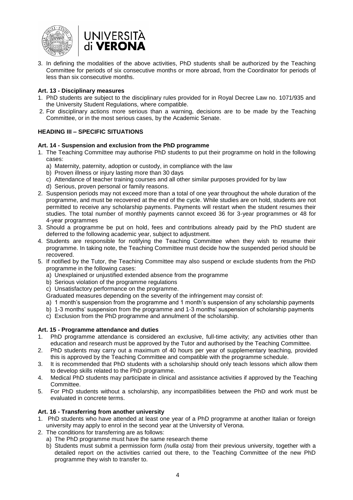



3. In defining the modalities of the above activities, PhD students shall be authorized by the Teaching Committee for periods of six consecutive months or more abroad, from the Coordinator for periods of less than six consecutive months.

#### <span id="page-5-0"></span>**Art. 13 - Disciplinary measures**

- 1. PhD students are subject to the disciplinary rules provided for in Royal Decree Law no. 1071/935 and the University Student Regulations, where compatible.
- 2. For disciplinary actions more serious than a warning, decisions are to be made by the Teaching Committee, or in the most serious cases, by the Academic Senate.

## <span id="page-5-1"></span>**HEADING III – SPECIFIC SITUATIONS**

#### <span id="page-5-2"></span>**Art. 14 - Suspension and exclusion from the PhD programme**

- 1. The Teaching Committee may authorise PhD students to put their programme on hold in the following cases:
	- a) Maternity, paternity, adoption or custody, in compliance with the law
	- b) Proven illness or injury lasting more than 30 days
	- c) Attendance of teacher training courses and all other similar purposes provided for by law
	- d) Serious, proven personal or family reasons.
- 2. Suspension periods may not exceed more than a total of one year throughout the whole duration of the programme, and must be recovered at the end of the cycle. While studies are on hold, students are not permitted to receive any scholarship payments. Payments will restart when the student resumes their studies. The total number of monthly payments cannot exceed 36 for 3-year programmes or 48 for 4-year programmes
- 3. Should a programme be put on hold, fees and contributions already paid by the PhD student are deferred to the following academic year, subject to adjustment.
- 4. Students are responsible for notifying the Teaching Committee when they wish to resume their programme. In taking note, the Teaching Committee must decide how the suspended period should be recovered.
- 5. If notified by the Tutor, the Teaching Committee may also suspend or exclude students from the PhD programme in the following cases:
	- a) Unexplained or unjustified extended absence from the programme
	- b) Serious violation of the programme regulations
	- c) Unsatisfactory performance on the programme.

Graduated measures depending on the severity of the infringement may consist of:

- a) 1 month's suspension from the programme and 1 month's suspension of any scholarship payments
- b) 1-3 months' suspension from the programme and 1-3 months' suspension of scholarship payments c) Exclusion from the PhD programme and annulment of the scholarship.
- 

## <span id="page-5-3"></span>**Art. 15 - Programme attendance and duties**

- 1. PhD programme attendance is considered an exclusive, full-time activity; any activities other than education and research must be approved by the Tutor and authorised by the Teaching Committee.
- 2. PhD students may carry out a maximum of 40 hours per year of supplementary teaching, provided this is approved by the Teaching Committee and compatible with the programme schedule.
- 3. It is recommended that PhD students with a scholarship should only teach lessons which allow them to develop skills related to the PhD programme.
- 4. Medical PhD students may participate in clinical and assistance activities if approved by the Teaching Committee.
- 5. For PhD students without a scholarship, any incompatibilities between the PhD and work must be evaluated in concrete terms.

## <span id="page-5-4"></span>**Art. 16 - Transferring from another university**

- 1. PhD students who have attended at least one year of a PhD programme at another Italian or foreign university may apply to enrol in the second year at the University of Verona.
- 2. The conditions for transferring are as follows:
	- a) The PhD programme must have the same research theme
	- b) Students must submit a permission form *(nulla osta)* from their previous university, together with a detailed report on the activities carried out there, to the Teaching Committee of the new PhD programme they wish to transfer to.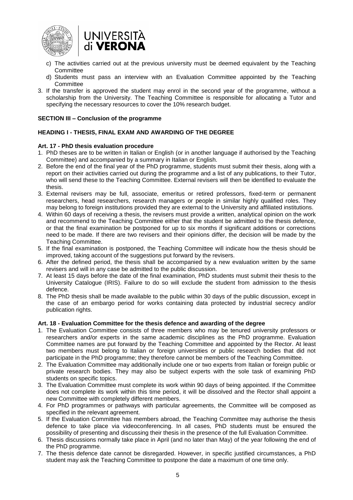



- c) The activities carried out at the previous university must be deemed equivalent by the Teaching **Committee**
- d) Students must pass an interview with an Evaluation Committee appointed by the Teaching **Committee**
- 3. If the transfer is approved the student may enrol in the second year of the programme, without a scholarship from the University. The Teaching Committee is responsible for allocating a Tutor and specifying the necessary resources to cover the 10% research budget.

#### <span id="page-6-0"></span>**SECTION III – Conclusion of the programme**

## <span id="page-6-1"></span>**HEADING I - THESIS, FINAL EXAM AND AWARDING OF THE DEGREE**

#### <span id="page-6-2"></span>**Art. 17 - PhD thesis evaluation procedure**

- 1. PhD theses are to be written in Italian or English (or in another language if authorised by the Teaching Committee) and accompanied by a summary in Italian or English.
- 2. Before the end of the final year of the PhD programme, students must submit their thesis, along with a report on their activities carried out during the programme and a list of any publications, to their Tutor, who will send these to the Teaching Committee. External revisers will then be identified to evaluate the thesis.
- 3. External revisers may be full, associate, emeritus or retired professors, fixed-term or permanent researchers, head researchers, research managers or people in similar highly qualified roles. They may belong to foreign institutions provided they are external to the University and affiliated institutions.
- 4. Within 60 days of receiving a thesis, the revisers must provide a written, analytical opinion on the work and recommend to the Teaching Committee either that the student be admitted to the thesis defence, or that the final examination be postponed for up to six months if significant additions or corrections need to be made. If there are two revisers and their opinions differ, the decision will be made by the Teaching Committee.
- 5. If the final examination is postponed, the Teaching Committee will indicate how the thesis should be improved, taking account of the suggestions put forward by the revisers.
- 6. After the defined period, the thesis shall be accompanied by a new evaluation written by the same revisers and will in any case be admitted to the public discussion.
- 7. At least 15 days before the date of the final examination, PhD students must submit their thesis to the University Catalogue (IRIS). Failure to do so will exclude the student from admission to the thesis defence.
- 8. The PhD thesis shall be made available to the public within 30 days of the public discussion, except in the case of an embargo period for works containing data protected by industrial secrecy and/or publication rights.

#### <span id="page-6-3"></span>**Art. 18 - Evaluation Committee for the thesis defence and awarding of the degree**

- 1. The Evaluation Committee consists of three members who may be tenured university professors or researchers and/or experts in the same academic disciplines as the PhD programme. Evaluation Committee names are put forward by the Teaching Committee and appointed by the Rector. At least two members must belong to Italian or foreign universities or public research bodies that did not participate in the PhD programme; they therefore cannot be members of the Teaching Committee.
- 2. The Evaluation Committee may additionally include one or two experts from Italian or foreign public or private research bodies. They may also be subject experts with the sole task of examining PhD students on specific topics.
- 3. The Evaluation Committee must complete its work within 90 days of being appointed. If the Committee does not complete its work within this time period, it will be dissolved and the Rector shall appoint a new Committee with completely different members.
- 4. For PhD programmes or pathways with particular agreements, the Committee will be composed as specified in the relevant agreement.
- 5. If the Evaluation Committee has members abroad, the Teaching Committee may authorise the thesis defence to take place via videoconferencing. In all cases, PhD students must be ensured the possibility of presenting and discussing their thesis in the presence of the full Evaluation Committee.
- 6. Thesis discussions normally take place in April (and no later than May) of the year following the end of the PhD programme.
- 7. The thesis defence date cannot be disregarded. However, in specific justified circumstances, a PhD student may ask the Teaching Committee to postpone the date a maximum of one time only.